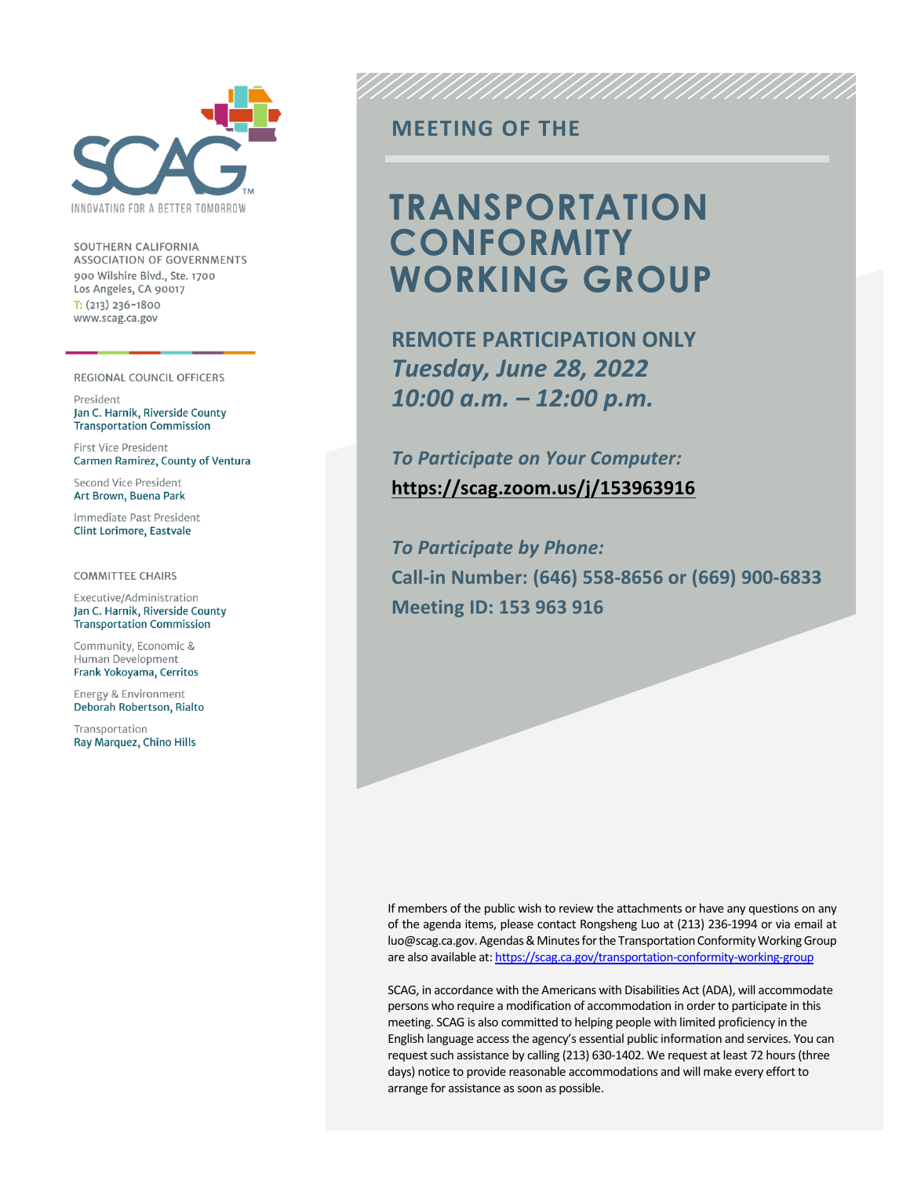

SOUTHERN CALIFORNIA ASSOCIATION OF GOVERNMENTS 900 Wilshire Blvd., Ste. 1700 Los Angeles, CA 90017  $T: (213)$  236-1800 www.scag.ca.gov

#### REGIONAL COUNCIL OFFICERS

President Jan C. Harnik, Riverside County **Transportation Commission** 

First Vice President Carmen Ramirez, County of Ventura

Second Vice President Art Brown, Buena Park

Immediate Past President **Clint Lorimore, Eastvale** 

**COMMITTEE CHAIRS** 

Executive/Administration Jan C. Harnik, Riverside County **Transportation Commission** 

Community, Economic & Human Development Frank Yokoyama, Cerritos

Energy & Environment Deborah Robertson, Rialto

Transportation Ray Marquez, Chino Hills

### **MEETING OF THE**

## **TRANSPORTATION CONFORMITY WORKING GROUP**

**REMOTE PARTICIPATION ONLY** *Tuesday, June 28, 2022 10:00 a.m. – 12:00 p.m.*

*To Participate on Your Computer:* **<https://scag.zoom.us/j/153963916>**

*To Participate by Phone:* **Call-in Number: (646) 558-8656 or (669) 900-6833 Meeting ID: 153 963 916**

If members of the public wish to review the attachments or have any questions on any of the agenda items, please contact Rongsheng Luo at (213) 236-1994 or via email at luo@scag.ca.gov. Agendas & Minutes for the Transportation Conformity Working Group are also available at[: https://scag.ca.gov/transportation-conformity-working-group](https://scag.ca.gov/transportation-conformity-working-group)

SCAG, in accordance with the Americans with Disabilities Act (ADA), will accommodate persons who require a modification of accommodation in order to participate in this meeting. SCAG is also committed to helping people with limited proficiency in the English language access the agency's essential public information and services. You can request such assistance by calling (213) 630-1402. We request at least 72 hours (three days) notice to provide reasonable accommodations and will make every effort to arrange for assistance as soon as possible.